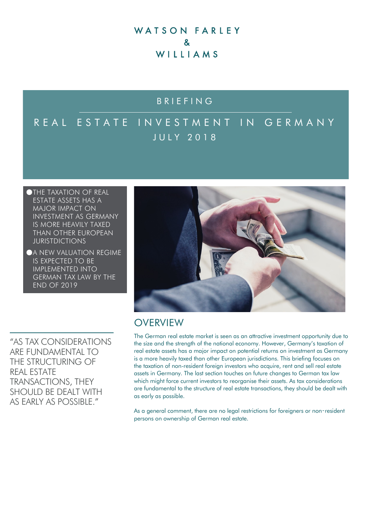# WATSON FARLEY  $\mathbf{z}$ WILLIAMS

# BRIEFING

# REAL ESTATE INVESTMENT IN GERMANY JULY 2018

- ●THE TAXATION OF REAL ESTATE ASSETS HAS A MAJOR IMPACT ON INVESTMENT AS GERMANY IS MORE HEAVILY TAXED THAN OTHER EUROPEAN JURISTDICTIONS
- **A NEW VALUATION REGIME** IS EXPECTED TO BE IMPLEMENTED INTO GERMAN TAX LAW BY THE END OF 2019

"AS TAX CONSIDERATIONS ARE FUNDAMENTAL TO THE STRUCTURING OF REAL ESTATE TRANSACTIONS, THEY SHOULD BE DEALT WITH AS FARLY AS POSSIBLE"



# **OVERVIEW**

The German real estate market is seen as an attractive investment opportunity due to the size and the strength of the national economy. However, Germany's taxation of real estate assets has a major impact on potential returns on investment as Germany is a more heavily taxed than other European jurisdictions. This briefing focuses on the taxation of non-resident foreign investors who acquire, rent and sell real estate assets in Germany. The last section touches on future changes to German tax law which might force current investors to reorganise their assets. As tax considerations are fundamental to the structure of real estate transactions, they should be dealt with as early as possible.

As a general comment, there are no legal restrictions for foreigners or non-resident persons on ownership of German real estate.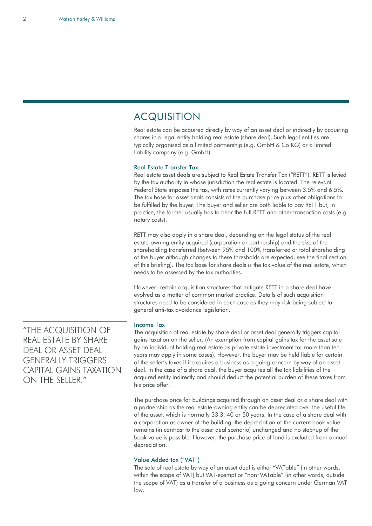### ACQUISITION

Real estate can be acquired directly by way of an asset deal or indirectly by acquiring shares in a legal entity holding real estate (share deal). Such legal entities are typically organised as a limited partnership (e.g. GmbH & Co KG) or a limited liability company (e.g. GmbH).

#### Real Estate Transfer Tax

Real estate asset deals are subject to Real Estate Transfer Tax ("RETT"). RETT is levied by the tax authority in whose jurisdiction the real estate is located. The relevant Federal State imposes the tax, with rates currently varying between 3.5% and 6.5%. The tax base for asset deals consists of the purchase price plus other obligations to be fulfilled by the buyer. The buyer and seller are both liable to pay RETT but, in practice, the former usually has to bear the full RETT and other transaction costs (e.g. notary costs).

RETT may also apply in a share deal, depending on the legal status of the real estate-owning entity acquired (corporation or partnership) and the size of the shareholding transferred (between 95% and 100% transferred or total shareholding of the buyer although changes to these thresholds are expected: see the final section of this briefing). The tax base for share deals is the tax value of the real estate, which needs to be assessed by the tax authorities.

However, certain acquisition structures that mitigate RETT in a share deal have evolved as a matter of common market practice. Details of such acquisition structures need to be considered in each case as they may risk being subject to general anti-tax avoidance legislation.

#### Income Tax

The acquisition of real estate by share deal or asset deal generally triggers capital gains taxation on the seller. (An exemption from capital gains tax for the asset sale by an individual holding real estate as private estate investment for more than ten years may apply in some cases). However, the buyer may be held liable for certain of the seller's taxes if it acquires a business as a going concern by way of an asset deal. In the case of a share deal, the buyer acquires all the tax liabilities of the acquired entity indirectly and should deduct the potential burden of these taxes from his price offer.

The purchase price for buildings acquired through an asset deal or a share deal with a partnership as the real estate-owning entity can be depreciated over the useful life of the asset, which is normally 33.3, 40 or 50 years. In the case of a share deal with a corporation as owner of the building, the depreciation of the current book value remains (in contrast to the asset deal scenario) unchanged and no step‑up of the book value is possible. However, the purchase price of land is excluded from annual depreciation.

#### Value Added tax ("VAT")

The sale of real estate by way of an asset deal is either "VATable" (in other words, within the scope of VAT) but VAT-exempt or "non-VATable" (in other words, outside the scope of VAT) as a transfer of a business as a going concern under German VAT law.

"THE ACQUISITION OF REAL ESTATE BY SHARE DEAL OR ASSET DEAL GENERALLY TRIGGERS CAPITAL GAINS TAXATION ON THE SFILER<sup>"</sup>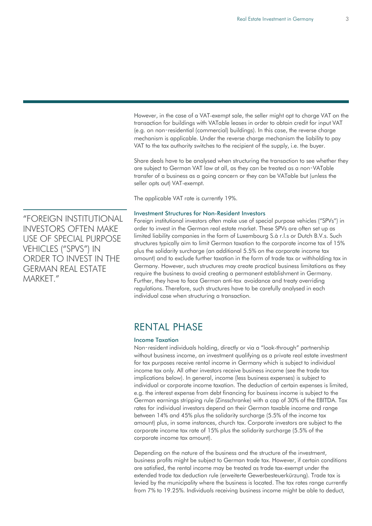However, in the case of a VAT-exempt sale, the seller might opt to charge VAT on the transaction for buildings with VATable leases in order to obtain credit for input VAT (e.g. on non‑residential (commercial) buildings). In this case, the reverse charge mechanism is applicable. Under the reverse charge mechanism the liability to pay VAT to the tax authority switches to the recipient of the supply, i.e. the buyer.

Share deals have to be analysed when structuring the transaction to see whether they are subject to German VAT law at all, as they can be treated as a non‑VATable transfer of a business as a going concern or they can be VATable but (unless the seller opts out) VAT-exempt.

The applicable VAT rate is currently 19%.

#### Investment Structures for Non-Resident Investors

Foreign institutional investors often make use of special purpose vehicles ("SPVs") in order to invest in the German real estate market. These SPVs are often set up as limited liability companies in the form of Luxembourg S.à r.l.s or Dutch B.V.s. Such structures typically aim to limit German taxation to the corporate income tax of 15% plus the solidarity surcharge (an additional 5.5% on the corporate income tax amount) and to exclude further taxation in the form of trade tax or withholding tax in Germany. However, such structures may create practical business limitations as they require the business to avoid creating a permanent establishment in Germany. Further, they have to face German anti‑tax avoidance and treaty overriding regulations. Therefore, such structures have to be carefully analysed in each individual case when structuring a transaction.

## RENTAL PHASE

#### Income Taxation

Non-resident individuals holding, directly or via a "look-through" partnership without business income, an investment qualifying as a private real estate investment for tax purposes receive rental income in Germany which is subject to individual income tax only. All other investors receive business income (see the trade tax implications below). In general, income (less business expenses) is subject to individual or corporate income taxation. The deduction of certain expenses is limited, e.g. the interest expense from debt financing for business income is subject to the German earnings stripping rule (Zinsschranke) with a cap of 30% of the EBITDA. Tax rates for individual investors depend on their German taxable income and range between 14% and 45% plus the solidarity surcharge (5.5% of the income tax amount) plus, in some instances, church tax. Corporate investors are subject to the corporate income tax rate of 15% plus the solidarity surcharge (5.5% of the corporate income tax amount).

Depending on the nature of the business and the structure of the investment, business profits might be subject to German trade tax. However, if certain conditions are satisfied, the rental income may be treated as trade tax-exempt under the extended trade tax deduction rule (erweiterte Gewerbesteuerkürzung). Trade tax is levied by the municipality where the business is located. The tax rates range currently from 7% to 19.25%. Individuals receiving business income might be able to deduct,

"FOREIGN INSTITUTIONAL INVESTORS OFTEN MAKE USE OF SPECIAL PURPOSE VEHICLES ("SPVS") IN ORDER TO INVEST IN THE GERMAN REAL ESTATE MARKFT"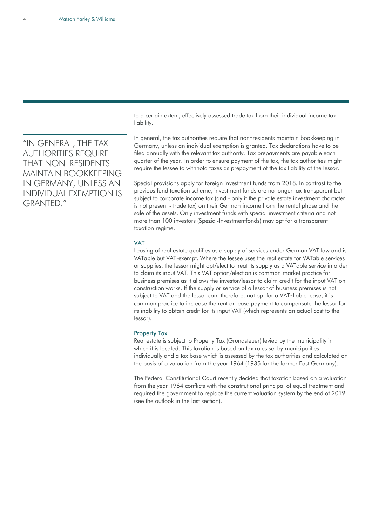"IN GENERAL, THE TAX AUTHORITIES REQUIRE THAT NON‑RESIDENTS MAINTAIN BOOKKEEPING IN GERMANY, UNLESS AN INDIVIDUAL EXEMPTION IS GRANTED."

to a certain extent, effectively assessed trade tax from their individual income tax liability.

In general, the tax authorities require that non-residents maintain bookkeeping in Germany, unless an individual exemption is granted. Tax declarations have to be filed annually with the relevant tax authority. Tax prepayments are payable each quarter of the year. In order to ensure payment of the tax, the tax authorities might require the lessee to withhold taxes as prepayment of the tax liability of the lessor.

Special provisions apply for foreign investment funds from 2018. In contrast to the previous fund taxation scheme, investment funds are no longer tax-transparent but subject to corporate income tax (and - only if the private estate investment character is not present - trade tax) on their German income from the rental phase and the sale of the assets. Only investment funds with special investment criteria and not more than 100 investors (Spezial-Investmentfonds) may opt for a transparent taxation regime.

#### VAT

Leasing of real estate qualifies as a supply of services under German VAT law and is VATable but VAT-exempt. Where the lessee uses the real estate for VATable services or supplies, the lessor might opt/elect to treat its supply as a VATable service in order to claim its input VAT. This VAT option/election is common market practice for business premises as it allows the investor/lessor to claim credit for the input VAT on construction works. If the supply or service of a lessor of business premises is not subject to VAT and the lessor can, therefore, not opt for a VAT-liable lease, it is common practice to increase the rent or lease payment to compensate the lessor for its inability to obtain credit for its input VAT (which represents an actual cost to the lessor).

#### Property Tax

Real estate is subject to Property Tax (Grundsteuer) levied by the municipality in which it is located. This taxation is based on tax rates set by municipalities individually and a tax base which is assessed by the tax authorities and calculated on the basis of a valuation from the year 1964 (1935 for the former East Germany).

The Federal Constitutional Court recently decided that taxation based on a valuation from the year 1964 conflicts with the constitutional principal of equal treatment and required the government to replace the current valuation system by the end of 2019 (see the outlook in the last section).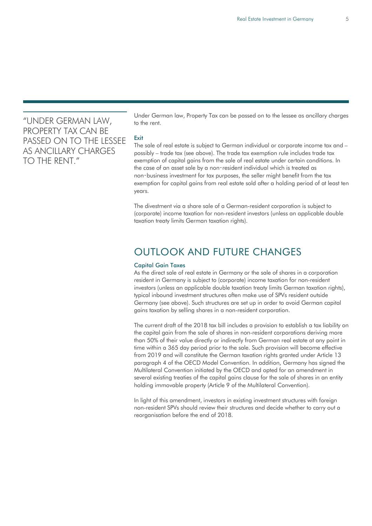### "UNDER GERMAN LAW, PROPERTY TAX CAN BE PASSED ON TO THE LESSEE AS ANCILLARY CHARGES TO THE RENT."

Under German law, Property Tax can be passed on to the lessee as ancillary charges to the rent.

#### **Exit**

The sale of real estate is subject to German individual or corporate income tax and – possibly – trade tax (see above). The trade tax exemption rule includes trade tax exemption of capital gains from the sale of real estate under certain conditions. In the case of an asset sale by a non‑resident individual which is treated as non‑business investment for tax purposes, the seller might benefit from the tax exemption for capital gains from real estate sold after a holding period of at least ten years.

The divestment via a share sale of a German-resident corporation is subject to (corporate) income taxation for non-resident investors (unless an applicable double taxation treaty limits German taxation rights).

## OUTLOOK AND FUTURE CHANGES

#### Capital Gain Taxes

As the direct sale of real estate in Germany or the sale of shares in a corporation resident in Germany is subject to (corporate) income taxation for non-resident investors (unless an applicable double taxation treaty limits German taxation rights), typical inbound investment structures often make use of SPVs resident outside Germany (see above). Such structures are set up in order to avoid German capital gains taxation by selling shares in a non-resident corporation.

The current draft of the 2018 tax bill includes a provision to establish a tax liability on the capital gain from the sale of shares in non-resident corporations deriving more than 50% of their value directly or indirectly from German real estate at any point in time within a 365 day period prior to the sale. Such provision will become effective from 2019 and will constitute the German taxation rights granted under Article 13 paragraph 4 of the OECD Model Convention. In addition, Germany has signed the Multilateral Convention initiated by the OECD and opted for an amendment in several existing treaties of the capital gains clause for the sale of shares in an entity holding immovable property (Article 9 of the Multilateral Convention).

In light of this amendment, investors in existing investment structures with foreign non-resident SPVs should review their structures and decide whether to carry out a reorganisation before the end of 2018.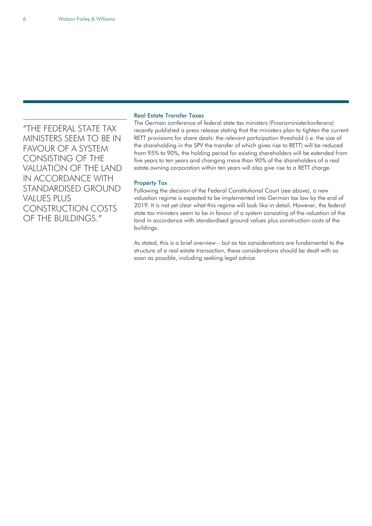"THE FEDERAL STATE TAX MINISTERS SEEM TO BE IN FAVOUR OF A SYSTEM CONSISTING OF THE VALUATION OF THE LAND IN ACCORDANCE WITH STANDARDISED GROUND VALUES PLUS CONSTRUCTION COSTS OF THE BUILDINGS."

#### Real Estate Transfer Taxes

The German conference of federal state tax ministers (Finanzministerkonferenz) recently published a press release stating that the ministers plan to tighten the current RETT provisions for share deals: the relevant participation threshold (i.e. the size of the shareholding in the SPV the transfer of which gives rise to RETT) will be reduced from 95% to 90%, the holding period for existing shareholders will be extended from five years to ten years and changing more than 90% of the shareholders of a real estate owning corporation within ten years will also give rise to a RETT charge.

#### Property Tax

Following the decision of the Federal Constitutional Court (see above), a new valuation regime is expected to be implemented into German tax law by the end of 2019. It is not yet clear what this regime will look like in detail. However, the federal state tax ministers seem to be in favour of a system consisting of the valuation of the land in accordance with standardised ground values plus construction costs of the buildings.

As stated, this is a brief overview – but as tax considerations are fundamental to the structure of a real estate transaction, these considerations should be dealt with as soon as possible, including seeking legal advice.